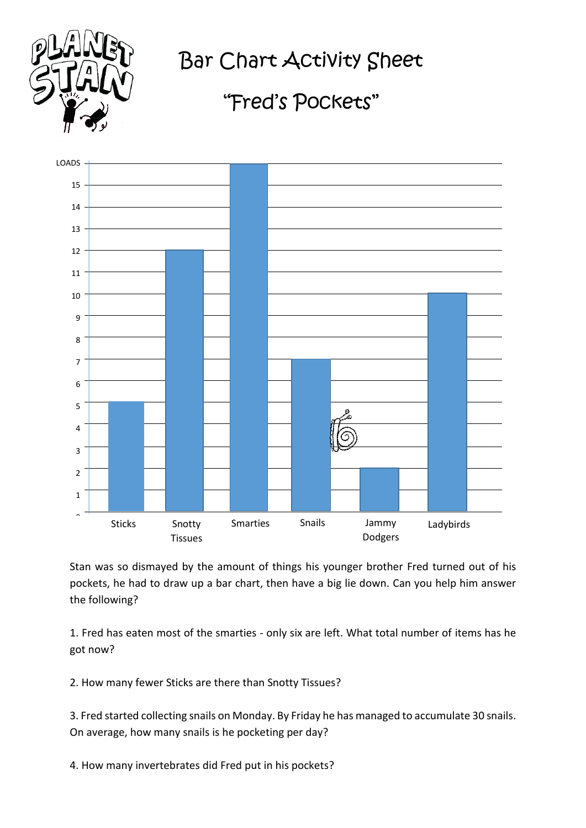

Bar Chart Activity Sheet

## "Fred's Pockets"



Stan was so dismayed by the amount of things his younger brother Fred turned out of his pockets, he had to draw up a bar chart, then have a big lie down. Can you help him answer the following?

1. Fred has eaten most of the smarties - only six are left. What total number of items has he got now?

2. How many fewer Sticks are there than Snotty Tissues?

3. Fred started collecting snails on Monday. By Friday he has managed to accumulate 30 snails. On average, how many snails is he pocketing per day?

4. How many invertebrates did Fred put in his pockets?